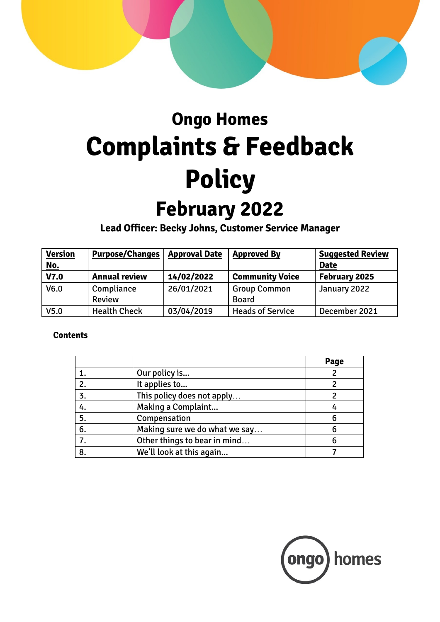

# **Ongo Homes Complaints & Feedback Policy**

# **February 2022**

**Lead Officer: Becky Johns, Customer Service Manager**

| <b>Version</b><br><u>No.</u> | <b>Purpose/Changes</b>      | <b>Approval Date</b> | <b>Approved By</b>                  | <b>Suggested Review</b><br><b>Date</b> |
|------------------------------|-----------------------------|----------------------|-------------------------------------|----------------------------------------|
| V7.0                         | <b>Annual review</b>        | 14/02/2022           | <b>Community Voice</b>              | February 2025                          |
| V <sub>6.0</sub>             | Compliance<br><b>Review</b> | 26/01/2021           | <b>Group Common</b><br><b>Board</b> | January 2022                           |
| V5.0                         | <b>Health Check</b>         | 03/04/2019           | <b>Heads of Service</b>             | December 2021                          |

### **Contents**

|    |                               | Page |
|----|-------------------------------|------|
|    | Our policy is                 |      |
| 2. | It applies to                 |      |
| 3. | This policy does not apply    |      |
| 4. | <b>Making a Complaint</b>     |      |
| 5. | Compensation                  |      |
| 6. | Making sure we do what we say |      |
| 7. | Other things to bear in mind  |      |
| 8. | We'll look at this again      |      |

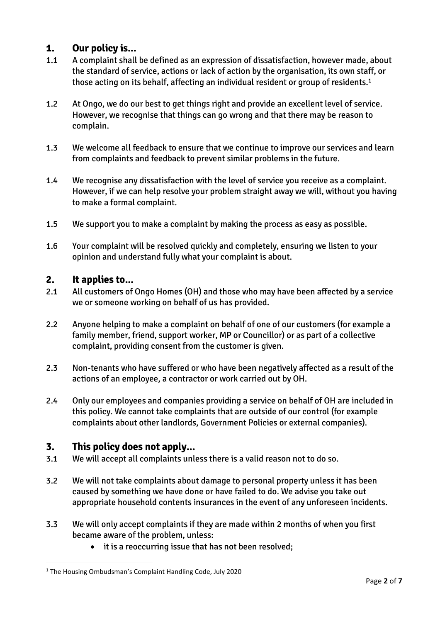# **1. Our policy is...**

- 1.1 A complaint shall be defined as an expression of dissatisfaction, however made, about the standard of service, actions or lack of action by the organisation, its own staff, or those acting on its behalf, affecting an individual resident or group of residents.<sup>1</sup>
- 1.2 At Ongo, we do our best to get things right and provide an excellent level of service. However, we recognise that things can go wrong and that there may be reason to complain.
- 1.3 We welcome all feedback to ensure that we continue to improve our services and learn from complaints and feedback to prevent similar problems in the future.
- 1.4 We recognise any dissatisfaction with the level of service you receive as a complaint. However, if we can help resolve your problem straight away we will, without you having to make a formal complaint.
- 1.5 We support you to make a complaint by making the process as easy as possible.
- 1.6 Your complaint will be resolved quickly and completely, ensuring we listen to your opinion and understand fully what your complaint is about.

# **2. It applies to...**

- 2.1 All customers of Ongo Homes (OH) and those who may have been affected by a service we or someone working on behalf of us has provided.
- 2.2 Anyone helping to make a complaint on behalf of one of our customers (for example a family member, friend, support worker, MP or Councillor) or as part of a collective complaint, providing consent from the customer is given.
- 2.3 Non-tenants who have suffered or who have been negatively affected as a result of the actions of an employee, a contractor or work carried out by OH.
- 2.4 Only our employees and companies providing a service on behalf of OH are included in this policy. We cannot take complaints that are outside of our control (for example complaints about other landlords, Government Policies or external companies).

# **3. This policy does not apply...**

 $\overline{\phantom{a}}$ 

- 3.1 We will accept all complaints unless there is a valid reason not to do so.
- 3.2 We will not take complaints about damage to personal property unless it has been caused by something we have done or have failed to do. We advise you take out appropriate household contents insurances in the event of any unforeseen incidents.
- 3.3 We will only accept complaints if they are made within 2 months of when you first became aware of the problem, unless:
	- it is a reoccurring issue that has not been resolved;

<sup>1</sup> The Housing Ombudsman's Complaint Handling Code, July 2020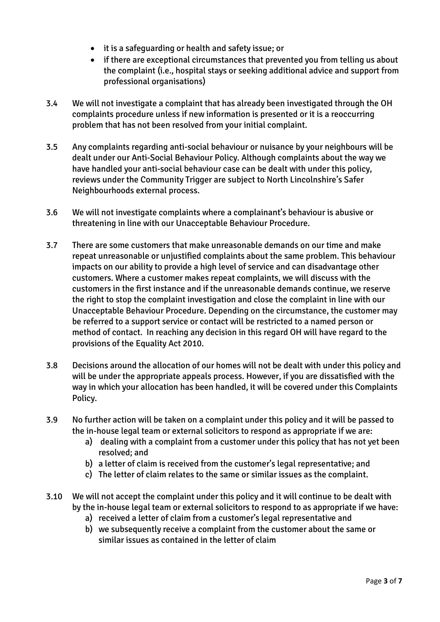- it is a safeguarding or health and safety issue; or
- if there are exceptional circumstances that prevented you from telling us about the complaint (i.e., hospital stays or seeking additional advice and support from professional organisations)
- 3.4 We will not investigate a complaint that has already been investigated through the OH complaints procedure unless if new information is presented or it is a reoccurring problem that has not been resolved from your initial complaint.
- 3.5 Any complaints regarding anti-social behaviour or nuisance by your neighbours will be dealt under our Anti-Social Behaviour Policy. Although complaints about the way we have handled your anti-social behaviour case can be dealt with under this policy, reviews under the Community Trigger are subject to North Lincolnshire's Safer Neighbourhoods external process.
- 3.6 We will not investigate complaints where a complainant's behaviour is abusive or threatening in line with our Unacceptable Behaviour Procedure.
- 3.7 There are some customers that make unreasonable demands on our time and make repeat unreasonable or unjustified complaints about the same problem. This behaviour impacts on our ability to provide a high level of service and can disadvantage other customers. Where a customer makes repeat complaints, we will discuss with the customers in the first instance and if the unreasonable demands continue, we reserve the right to stop the complaint investigation and close the complaint in line with our Unacceptable Behaviour Procedure. Depending on the circumstance, the customer may be referred to a support service or contact will be restricted to a named person or method of contact. In reaching any decision in this regard OH will have regard to the provisions of the Equality Act 2010.
- 3.8 Decisions around the allocation of our homes will not be dealt with under this policy and will be under the appropriate appeals process. However, if you are dissatisfied with the way in which your allocation has been handled, it will be covered under this Complaints Policy.
- 3.9 No further action will be taken on a complaint under this policy and it will be passed to the in-house legal team or external solicitors to respond as appropriate if we are:
	- a) dealing with a complaint from a customer under this policy that has not yet been resolved; and
	- b) a letter of claim is received from the customer's legal representative; and
	- c) The letter of claim relates to the same or similar issues as the complaint.
- 3.10 We will not accept the complaint under this policy and it will continue to be dealt with by the in-house legal team or external solicitors to respond to as appropriate if we have:
	- a) received a letter of claim from a customer's legal representative and
	- b) we subsequently receive a complaint from the customer about the same or similar issues as contained in the letter of claim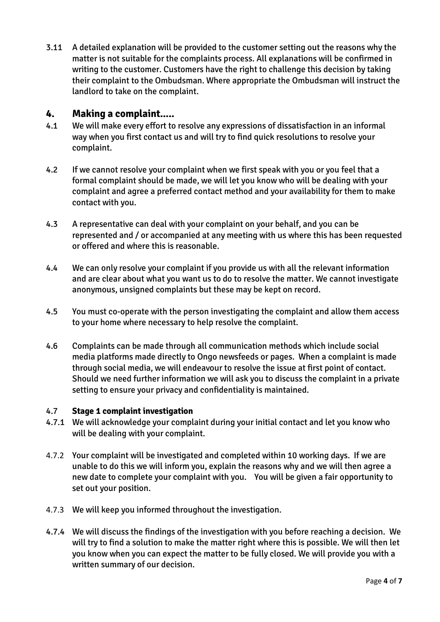3.11 A detailed explanation will be provided to the customer setting out the reasons why the matter is not suitable for the complaints process. All explanations will be confirmed in writing to the customer. Customers have the right to challenge this decision by taking their complaint to the Ombudsman. Where appropriate the Ombudsman will instruct the landlord to take on the complaint.

#### **4. Making a complaint.....**

- 4.1 We will make every effort to resolve any expressions of dissatisfaction in an informal way when you first contact us and will try to find quick resolutions to resolve your complaint.
- 4.2 If we cannot resolve your complaint when we first speak with you or you feel that a formal complaint should be made, we will let you know who will be dealing with your complaint and agree a preferred contact method and your availability for them to make contact with you.
- 4.3 A representative can deal with your complaint on your behalf, and you can be represented and / or accompanied at any meeting with us where this has been requested or offered and where this is reasonable.
- 4.4 We can only resolve your complaint if you provide us with all the relevant information and are clear about what you want us to do to resolve the matter. We cannot investigate anonymous, unsigned complaints but these may be kept on record.
- 4.5 You must co-operate with the person investigating the complaint and allow them access to your home where necessary to help resolve the complaint.
- 4.6 Complaints can be made through all communication methods which include social media platforms made directly to Ongo newsfeeds or pages. When a complaint is made through social media, we will endeavour to resolve the issue at first point of contact. Should we need further information we will ask you to discuss the complaint in a private setting to ensure your privacy and confidentiality is maintained.

#### 4.7 **Stage 1 complaint investigation**

- 4.7.1 We will acknowledge your complaint during your initial contact and let you know who will be dealing with your complaint.
- 4.7.2 Your complaint will be investigated and completed within 10 working days. If we are unable to do this we will inform you, explain the reasons why and we will then agree a new date to complete your complaint with you. You will be given a fair opportunity to set out your position.
- 4.7.3 We will keep you informed throughout the investigation.
- 4.7.4 We will discuss the findings of the investigation with you before reaching a decision. We will try to find a solution to make the matter right where this is possible. We will then let you know when you can expect the matter to be fully closed. We will provide you with a written summary of our decision.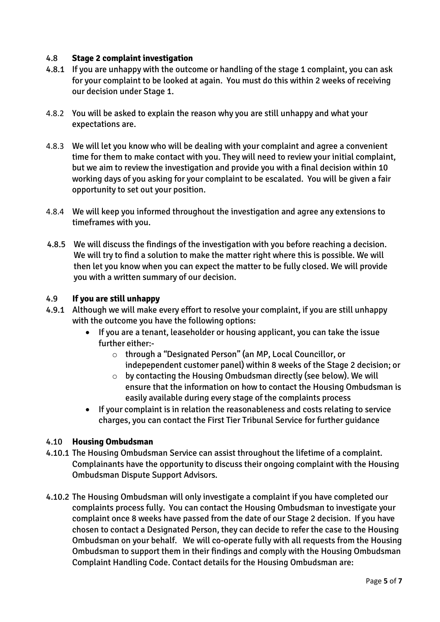#### 4.8 **Stage 2 complaint investigation**

- 4.8.1 If you are unhappy with the outcome or handling of the stage 1 complaint, you can ask for your complaint to be looked at again. You must do this within 2 weeks of receiving our decision under Stage 1.
- 4.8.2 You will be asked to explain the reason why you are still unhappy and what your expectations are.
- 4.8.3 We will let you know who will be dealing with your complaint and agree a convenient time for them to make contact with you. They will need to review your initial complaint, but we aim to review the investigation and provide you with a final decision within 10 working days of you asking for your complaint to be escalated. You will be given a fair opportunity to set out your position.
- 4.8.4 We will keep you informed throughout the investigation and agree any extensions to timeframes with you.
- 4.8.5 We will discuss the findings of the investigation with you before reaching a decision. We will try to find a solution to make the matter right where this is possible. We will then let you know when you can expect the matter to be fully closed. We will provide you with a written summary of our decision.

#### 4.9 **If you are still unhappy**

- 4.9.1 Although we will make every effort to resolve your complaint, if you are still unhappy with the outcome you have the following options:
	- If you are a tenant, leaseholder or housing applicant, you can take the issue further either:
		- o through a "Designated Person" (an MP, Local Councillor, or indepependent customer panel) within 8 weeks of the Stage 2 decision; or
		- $\circ$  by contacting the Housing Ombudsman directly (see below). We will ensure that the information on how to contact the Housing Ombudsman is easily available during every stage of the complaints process
	- If your complaint is in relation the reasonableness and costs relating to service charges, you can contact the First Tier Tribunal Service for further guidance

#### 4.10 **Housing Ombudsman**

- 4.10.1 The Housing Ombudsman Service can assist throughout the lifetime of a complaint. Complainants have the opportunity to discuss their ongoing complaint with the Housing Ombudsman Dispute Support Advisors.
- 4.10.2 The Housing Ombudsman will only investigate a complaint if you have completed our complaints process fully. You can contact the Housing Ombudsman to investigate your complaint once 8 weeks have passed from the date of our Stage 2 decision. If you have chosen to contact a Designated Person, they can decide to refer the case to the Housing Ombudsman on your behalf. We will co-operate fully with all requests from the Housing Ombudsman to support them in their findings and comply with the Housing Ombudsman Complaint Handling Code. Contact details for the Housing Ombudsman are: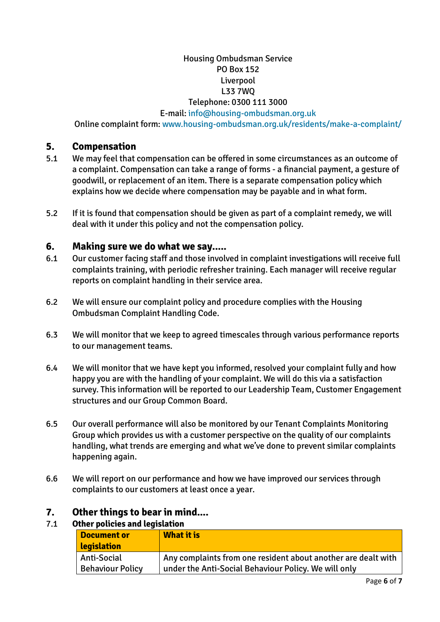# Housing Ombudsman Service PO Box 152 Liverpool L33 7WQ

# Telephone: 0300 111 3000

#### E-mail: [info@housing-ombudsman.org.uk](mailto:info@housing-ombudsman.org.uk)

Online complaint form[: www.housing-ombudsman.org.uk/residents/make-a-complaint/](http://www.housing-ombudsman.org.uk/residents/make-a-complaint/)

#### **5. Compensation**

- 5.1 We may feel that compensation can be offered in some circumstances as an outcome of a complaint. Compensation can take a range of forms - a financial payment, a gesture of goodwill, or replacement of an item. There is a separate compensation policy which explains how we decide where compensation may be payable and in what form.
- 5.2 If it is found that compensation should be given as part of a complaint remedy, we will deal with it under this policy and not the compensation policy.

#### **6. Making sure we do what we say.....**

- 6.1 Our customer facing staff and those involved in complaint investigations will receive full complaints training, with periodic refresher training. Each manager will receive regular reports on complaint handling in their service area.
- 6.2 We will ensure our complaint policy and procedure complies with the Housing Ombudsman Complaint Handling Code.
- 6.3 We will monitor that we keep to agreed timescales through various performance reports to our management teams.
- 6.4 We will monitor that we have kept you informed, resolved your complaint fully and how happy you are with the handling of your complaint. We will do this via a satisfaction survey. This information will be reported to our Leadership Team, Customer Engagement structures and our Group Common Board.
- 6.5 Our overall performance will also be monitored by our Tenant Complaints Monitoring Group which provides us with a customer perspective on the quality of our complaints handling, what trends are emerging and what we've done to prevent similar complaints happening again.
- 6.6 We will report on our performance and how we have improved our services through complaints to our customers at least once a year.

#### **7. Other things to bear in mind....**

#### 7.1 **Other policies and legislation**

| <b>Document or</b><br>legislation | What it is                                                    |
|-----------------------------------|---------------------------------------------------------------|
| Anti-Social                       | Any complaints from one resident about another are dealt with |
| <b>Behaviour Policy</b>           | under the Anti-Social Behaviour Policy. We will only          |